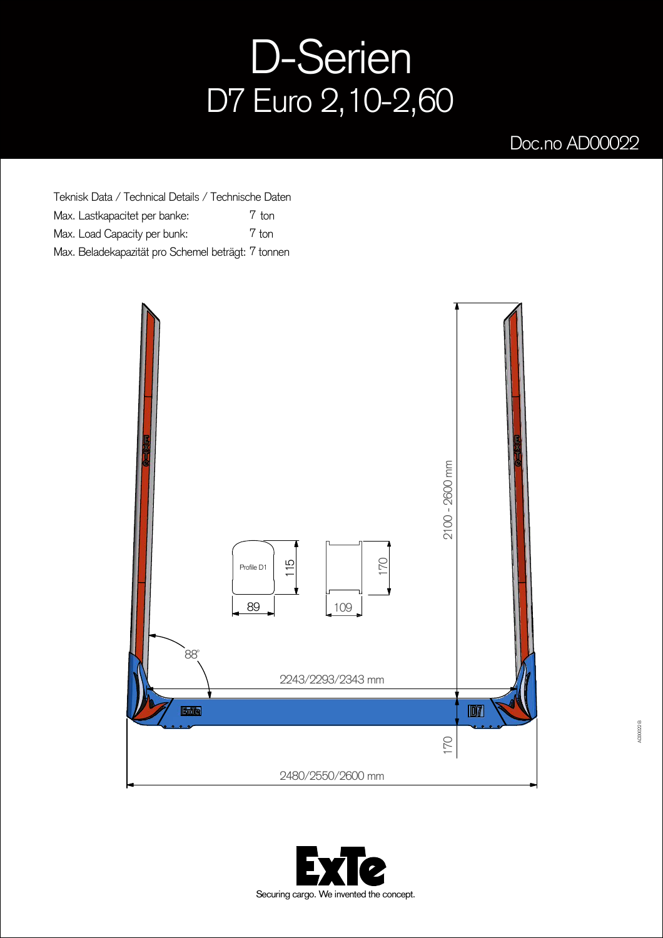## D-Serien D7 Euro 2,10-2,60

## Doc.no AD00022

Teknisk Data / Technical Details / Technische Daten Max. Lastkapacitet per banke: Max. Load Capacity per bunk: Max. Beladekapazität pro Schemel beträgt: 7 tonnen 7 ton 7 ton